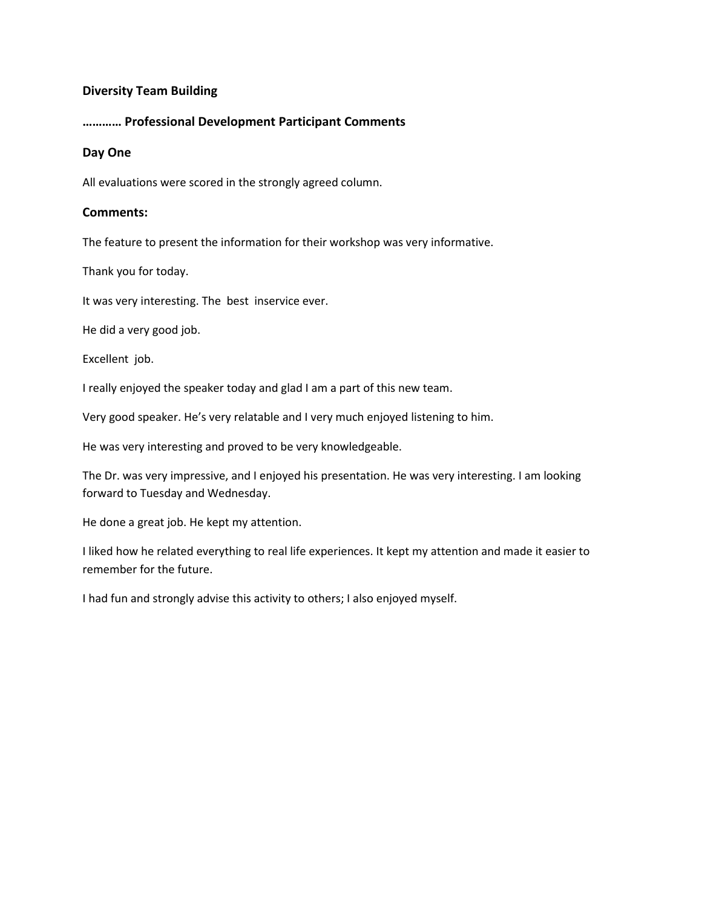## **Diversity Team Building**

## **………… Professional Development Participant Comments**

#### **Day One**

All evaluations were scored in the strongly agreed column.

#### **Comments:**

The feature to present the information for their workshop was very informative.

Thank you for today.

It was very interesting. The best inservice ever.

He did a very good job.

Excellent job.

I really enjoyed the speaker today and glad I am a part of this new team.

Very good speaker. He's very relatable and I very much enjoyed listening to him.

He was very interesting and proved to be very knowledgeable.

The Dr. was very impressive, and I enjoyed his presentation. He was very interesting. I am looking forward to Tuesday and Wednesday.

He done a great job. He kept my attention.

I liked how he related everything to real life experiences. It kept my attention and made it easier to remember for the future.

I had fun and strongly advise this activity to others; I also enjoyed myself.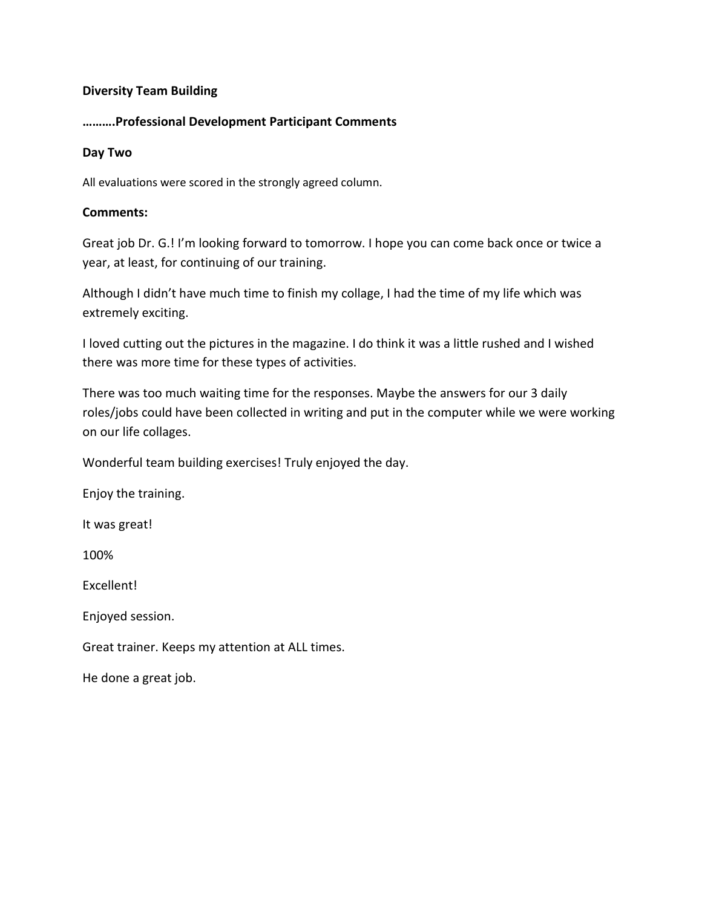# **Diversity Team Building**

# **……….Professional Development Participant Comments**

### **Day Two**

All evaluations were scored in the strongly agreed column.

## **Comments:**

Great job Dr. G.! I'm looking forward to tomorrow. I hope you can come back once or twice a year, at least, for continuing of our training.

Although I didn't have much time to finish my collage, I had the time of my life which was extremely exciting.

I loved cutting out the pictures in the magazine. I do think it was a little rushed and I wished there was more time for these types of activities.

There was too much waiting time for the responses. Maybe the answers for our 3 daily roles/jobs could have been collected in writing and put in the computer while we were working on our life collages.

Wonderful team building exercises! Truly enjoyed the day.

Enjoy the training.

It was great!

100%

Excellent!

Enjoyed session.

Great trainer. Keeps my attention at ALL times.

He done a great job.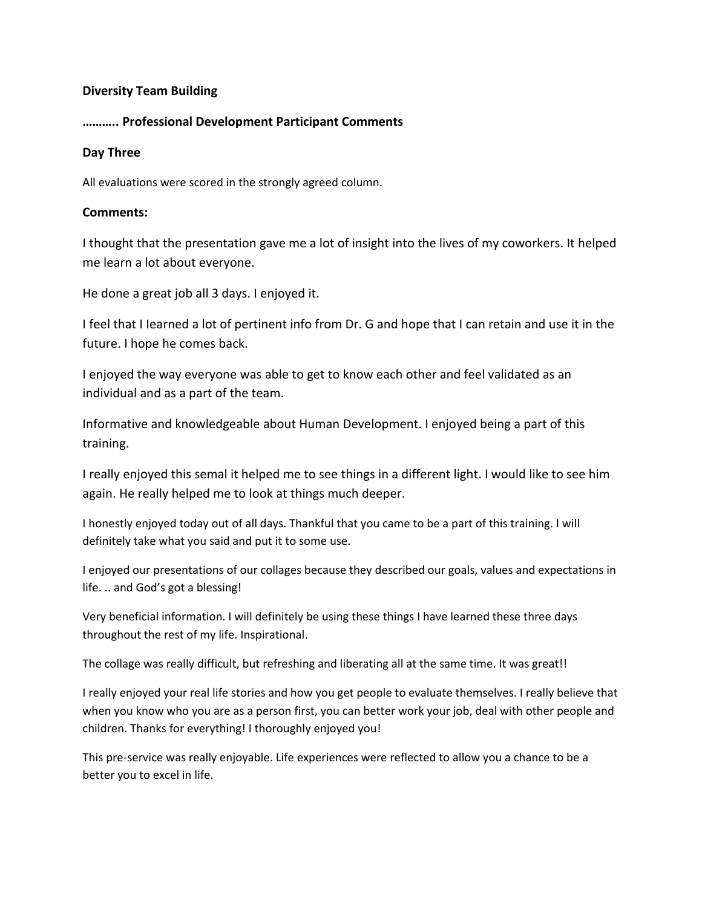# **Diversity Team Building**

# **……….. Professional Development Participant Comments**

### **Day Three**

All evaluations were scored in the strongly agreed column.

### **Comments:**

I thought that the presentation gave me a lot of insight into the lives of my coworkers. It helped me learn a lot about everyone.

He done a great job all 3 days. I enjoyed it.

I feel that I Iearned a lot of pertinent info from Dr. G and hope that I can retain and use it in the future. I hope he comes back.

I enjoyed the way everyone was able to get to know each other and feel validated as an individual and as a part of the team.

Informative and knowledgeable about Human Development. I enjoyed being a part of this training.

I really enjoyed this semal it helped me to see things in a different light. I would like to see him again. He really helped me to look at things much deeper.

I honestly enjoyed today out of all days. Thankful that you came to be a part of this training. I will definitely take what you said and put it to some use.

I enjoyed our presentations of our collages because they described our goals, values and expectations in life. .. and God's got a blessing!

Very beneficial information. I will definitely be using these things I have learned these three days throughout the rest of my life. Inspirational.

The collage was really difficult, but refreshing and liberating all at the same time. It was great!!

I really enjoyed your real life stories and how you get people to evaluate themselves. I really believe that when you know who you are as a person first, you can better work your job, deal with other people and children. Thanks for everything! I thoroughly enjoyed you!

This pre-service was really enjoyable. Life experiences were reflected to allow you a chance to be a better you to excel in life.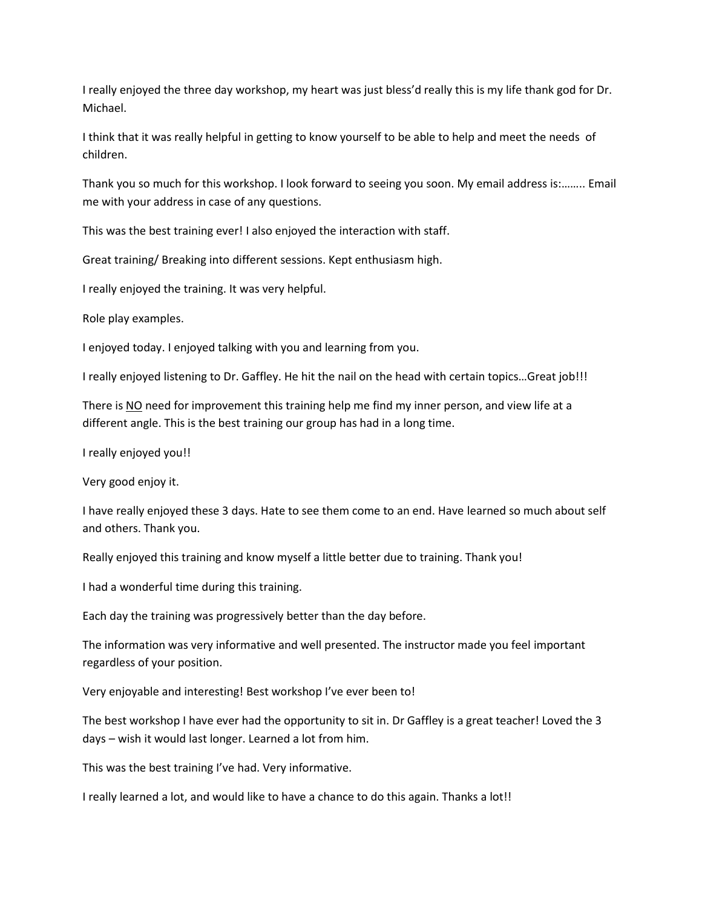I really enjoyed the three day workshop, my heart was just bless'd really this is my life thank god for Dr. Michael.

I think that it was really helpful in getting to know yourself to be able to help and meet the needs of children.

Thank you so much for this workshop. I look forward to seeing you soon. My email address is:…….. Email me with your address in case of any questions.

This was the best training ever! I also enjoyed the interaction with staff.

Great training/ Breaking into different sessions. Kept enthusiasm high.

I really enjoyed the training. It was very helpful.

Role play examples.

I enjoyed today. I enjoyed talking with you and learning from you.

I really enjoyed listening to Dr. Gaffley. He hit the nail on the head with certain topics…Great job!!!

There is NO need for improvement this training help me find my inner person, and view life at a different angle. This is the best training our group has had in a long time.

I really enjoyed you!!

Very good enjoy it.

I have really enjoyed these 3 days. Hate to see them come to an end. Have learned so much about self and others. Thank you.

Really enjoyed this training and know myself a little better due to training. Thank you!

I had a wonderful time during this training.

Each day the training was progressively better than the day before.

The information was very informative and well presented. The instructor made you feel important regardless of your position.

Very enjoyable and interesting! Best workshop I've ever been to!

The best workshop I have ever had the opportunity to sit in. Dr Gaffley is a great teacher! Loved the 3 days – wish it would last longer. Learned a lot from him.

This was the best training I've had. Very informative.

I really learned a lot, and would like to have a chance to do this again. Thanks a lot!!